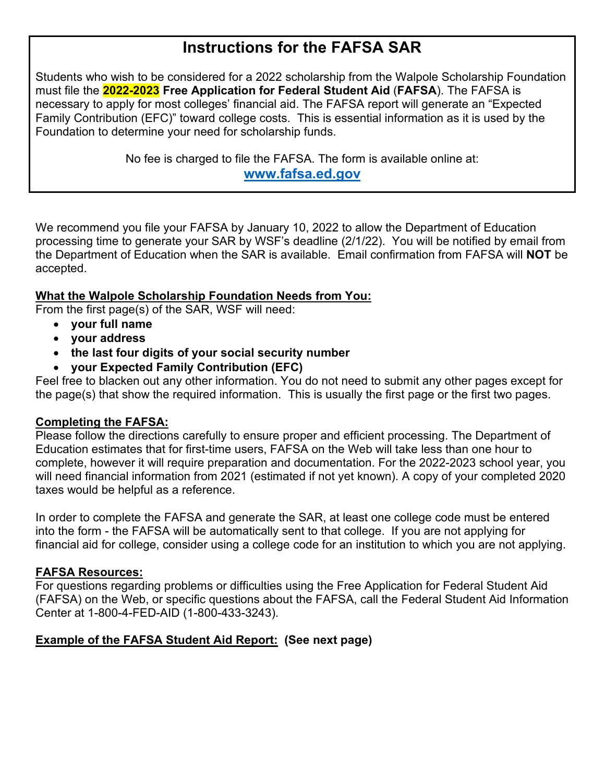# **Instructions for the FAFSA SAR**

Students who wish to be considered for a 2022 scholarship from the Walpole Scholarship Foundation must file the **2022-2023 Free Application for Federal Student Aid** (**FAFSA**). The FAFSA is necessary to apply for most colleges' financial aid. The FAFSA report will generate an "Expected Family Contribution (EFC)" toward college costs. This is essential information as it is used by the Foundation to determine your need for scholarship funds.

> No fee is charged to file the FAFSA. The form is available online at: **www.fafsa.ed.gov**

We recommend you file your FAFSA by January 10, 2022 to allow the Department of Education processing time to generate your SAR by WSF's deadline (2/1/22). You will be notified by email from the Department of Education when the SAR is available. Email confirmation from FAFSA will **NOT** be accepted.

### **What the Walpole Scholarship Foundation Needs from You:**

From the first page(s) of the SAR, WSF will need:

- **your full name**
- **your address**
- **the last four digits of your social security number**
- **your Expected Family Contribution (EFC)**

Feel free to blacken out any other information. You do not need to submit any other pages except for the page(s) that show the required information. This is usually the first page or the first two pages.

### **Completing the FAFSA:**

Please follow the directions carefully to ensure proper and efficient processing. The Department of Education estimates that for first-time users, FAFSA on the Web will take less than one hour to complete, however it will require preparation and documentation. For the 2022-2023 school year, you will need financial information from 2021 (estimated if not yet known). A copy of your completed 2020 taxes would be helpful as a reference.

In order to complete the FAFSA and generate the SAR, at least one college code must be entered into the form - the FAFSA will be automatically sent to that college. If you are not applying for financial aid for college, consider using a college code for an institution to which you are not applying.

### **FAFSA Resources:**

For questions regarding problems or difficulties using the Free Application for Federal Student Aid (FAFSA) on the Web, or specific questions about the FAFSA, call the Federal Student Aid Information Center at 1-800-4-FED-AID (1-800-433-3243).

### **Example of the FAFSA Student Aid Report: (See next page)**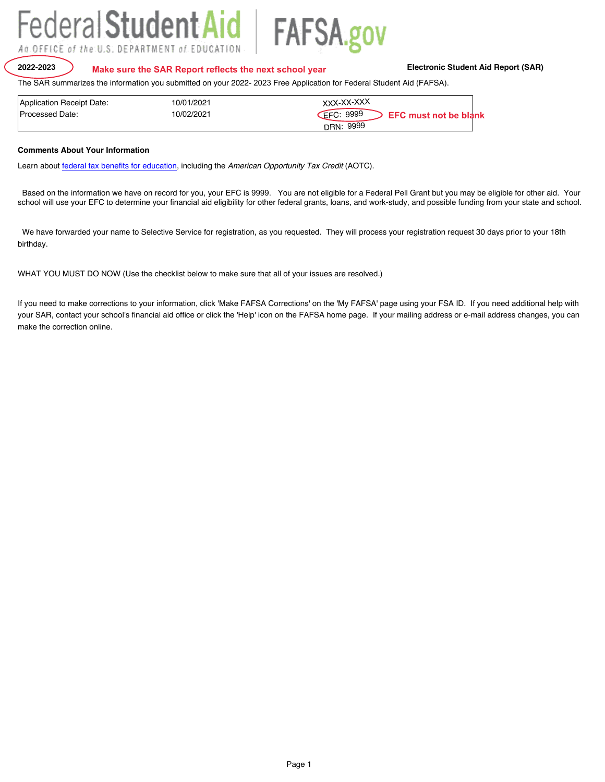

WHAT YOU MUST DO NOW (Use the checklist below to make sure that all of your issues are resolved.)

If you need to make corrections to your information, click 'Make FAFSA Corrections' on the 'My FAFSA' page using your FSA ID. If you need additional help with your SAR, contact your school's financial aid office or click the 'Help' icon on the FAFSA home page. If your mailing address or e-mail address changes, you can make the correction online.

#### The SAR summarizes the information you submitted on your 2022- 2023 Free Application for Federal Student Aid (FAFSA).

| Application Receipt Date: | 10/01/2021 | XXX-XX-XXX                                       |
|---------------------------|------------|--------------------------------------------------|
| Processed Date:           | 10/02/2021 | <b>EFC: 9999</b><br><b>EFC must not be blank</b> |
|                           |            | 9999<br>DRN:                                     |

#### **Comments About Your Information**

Learn about federal tax benefits for education, including the *American Opportunity Tax Credit* (AOTC).

Based on the information we have on record for you, your EFC is 9999. You are not eligible for a Federal Pell Grant but you may be eligible for other aid. Your school will use your EFC to determine your financial aid eligibility for other federal grants, loans, and work-study, and possible funding from your state and school.

We have forwarded your name to Selective Service for registration, as you requested. They will process your registration request 30 days prior to your 18th birthday.

## Federal Student Aid FAFSA.gov An OFFICE of the U.S. DEPARTMENT of EDUCATION

**2022-2023 Electronic Student Aid Report (SAR) Make sure the SAR Report reflects the next school year**